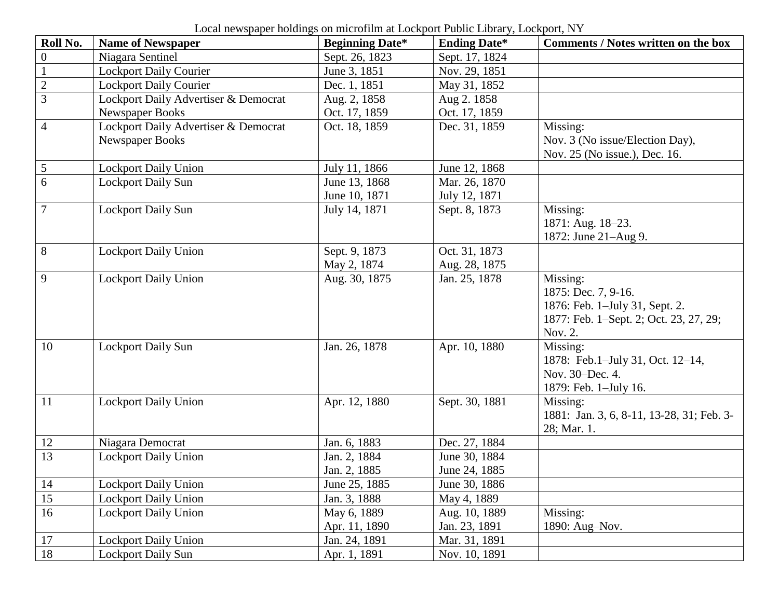Local newspaper holdings on microfilm at Lockport Public Library, Lockport, NY

| Roll No.         | <b>Name of Newspaper</b>             | <b>Beginning Date*</b> | <b>Ending Date*</b> | <b>Comments / Notes written on the box</b> |
|------------------|--------------------------------------|------------------------|---------------------|--------------------------------------------|
| $\boldsymbol{0}$ | Niagara Sentinel                     | Sept. 26, 1823         | Sept. 17, 1824      |                                            |
| $\mathbf{1}$     | <b>Lockport Daily Courier</b>        | June 3, 1851           | Nov. 29, 1851       |                                            |
| $\overline{2}$   | <b>Lockport Daily Courier</b>        | Dec. 1, 1851           | May 31, 1852        |                                            |
| 3                | Lockport Daily Advertiser & Democrat | Aug. 2, 1858           | Aug 2.1858          |                                            |
|                  | Newspaper Books                      | Oct. 17, 1859          | Oct. 17, 1859       |                                            |
| $\overline{4}$   | Lockport Daily Advertiser & Democrat | Oct. 18, 1859          | Dec. 31, 1859       | Missing:                                   |
|                  | Newspaper Books                      |                        |                     | Nov. 3 (No issue/Election Day),            |
|                  |                                      |                        |                     | Nov. 25 (No issue.), Dec. 16.              |
| $\mathfrak{S}$   | <b>Lockport Daily Union</b>          | July 11, 1866          | June 12, 1868       |                                            |
| 6                | <b>Lockport Daily Sun</b>            | June 13, 1868          | Mar. 26, 1870       |                                            |
|                  |                                      | June 10, 1871          | July 12, 1871       |                                            |
| $\overline{7}$   | <b>Lockport Daily Sun</b>            | July 14, 1871          | Sept. 8, 1873       | Missing:                                   |
|                  |                                      |                        |                     | 1871: Aug. 18-23.                          |
|                  |                                      |                        |                     | 1872: June 21-Aug 9.                       |
| $8\,$            | <b>Lockport Daily Union</b>          | Sept. 9, 1873          | Oct. 31, 1873       |                                            |
|                  |                                      | May 2, 1874            | Aug. 28, 1875       |                                            |
| 9                | <b>Lockport Daily Union</b>          | Aug. 30, 1875          | Jan. 25, 1878       | Missing:                                   |
|                  |                                      |                        |                     | 1875: Dec. 7, 9-16.                        |
|                  |                                      |                        |                     | 1876: Feb. 1-July 31, Sept. 2.             |
|                  |                                      |                        |                     | 1877: Feb. 1–Sept. 2; Oct. 23, 27, 29;     |
|                  |                                      |                        |                     | Nov. 2.                                    |
| 10               | <b>Lockport Daily Sun</b>            | Jan. 26, 1878          | Apr. 10, 1880       | Missing:                                   |
|                  |                                      |                        |                     | 1878: Feb.1-July 31, Oct. 12-14,           |
|                  |                                      |                        |                     | Nov. 30-Dec. 4.                            |
|                  |                                      |                        |                     | 1879: Feb. 1-July 16.                      |
| 11               | <b>Lockport Daily Union</b>          | Apr. 12, 1880          | Sept. 30, 1881      | Missing:                                   |
|                  |                                      |                        |                     | 1881: Jan. 3, 6, 8-11, 13-28, 31; Feb. 3-  |
|                  |                                      |                        |                     | 28; Mar. 1.                                |
| 12               | Niagara Democrat                     | Jan. 6, 1883           | Dec. 27, 1884       |                                            |
| 13               | Lockport Daily Union                 | Jan. 2, 1884           | June 30, 1884       |                                            |
|                  |                                      | Jan. 2, 1885           | June 24, 1885       |                                            |
| 14               | <b>Lockport Daily Union</b>          | June 25, 1885          | June 30, 1886       |                                            |
| 15               | <b>Lockport Daily Union</b>          | Jan. 3, 1888           | May 4, 1889         |                                            |
| 16               | <b>Lockport Daily Union</b>          | May 6, 1889            | Aug. 10, 1889       | Missing:                                   |
|                  |                                      | Apr. 11, 1890          | Jan. 23, 1891       | 1890: Aug-Nov.                             |
| 17               | <b>Lockport Daily Union</b>          | Jan. 24, 1891          | Mar. 31, 1891       |                                            |
| 18               | <b>Lockport Daily Sun</b>            | Apr. 1, 1891           | Nov. 10, 1891       |                                            |